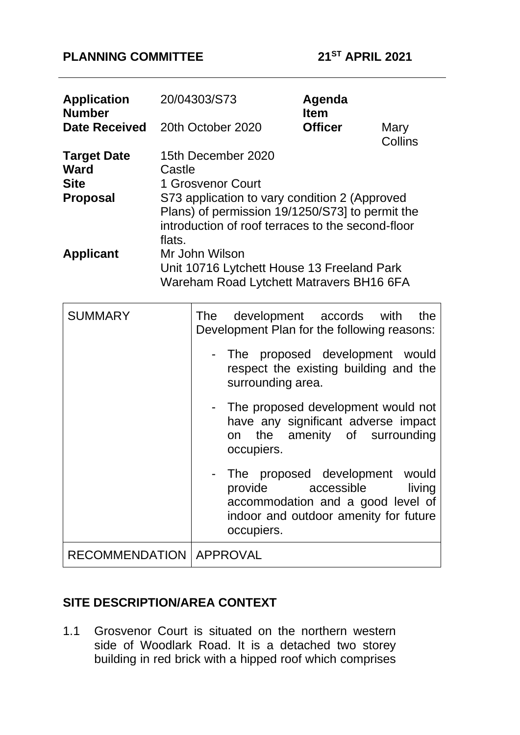# **PLANNING COMMITTEE 21ST APRIL 2021**

| <b>Application</b><br><b>Number</b>                                 |                  | 20/04303/S73                                                                                                                                                                                     |                                                                                                            | Agenda<br><b>Item</b>              |                 |
|---------------------------------------------------------------------|------------------|--------------------------------------------------------------------------------------------------------------------------------------------------------------------------------------------------|------------------------------------------------------------------------------------------------------------|------------------------------------|-----------------|
| <b>Date Received</b>                                                |                  |                                                                                                                                                                                                  | 20th October 2020                                                                                          | <b>Officer</b>                     | Mary<br>Collins |
| <b>Target Date</b><br><b>Ward</b><br><b>Site</b><br><b>Proposal</b> | Castle<br>flats. | 15th December 2020<br>1 Grosvenor Court<br>S73 application to vary condition 2 (Approved<br>Plans) of permission 19/1250/S73] to permit the<br>introduction of roof terraces to the second-floor |                                                                                                            |                                    |                 |
| <b>Applicant</b>                                                    |                  | Mr John Wilson                                                                                                                                                                                   | Unit 10716 Lytchett House 13 Freeland Park<br>Wareham Road Lytchett Matravers BH16 6FA                     |                                    |                 |
| <b>SUMMARY</b>                                                      |                  | <b>The</b>                                                                                                                                                                                       | development<br>Development Plan for the following reasons:                                                 | accords                            | with<br>the     |
|                                                                     |                  |                                                                                                                                                                                                  | The proposed development would<br>respect the existing building and the<br>surrounding area.               |                                    |                 |
|                                                                     |                  |                                                                                                                                                                                                  | The proposed development would not<br>have any significant adverse impact<br>the<br>on<br>occupiers.       | amenity of                         | surrounding     |
|                                                                     |                  |                                                                                                                                                                                                  | The<br>provide<br>accommodation and a good level of<br>indoor and outdoor amenity for future<br>occupiers. | proposed development<br>accessible | would<br>living |
| <b>RECOMMENDATION</b>                                               |                  |                                                                                                                                                                                                  | APPROVAL                                                                                                   |                                    |                 |

# **SITE DESCRIPTION/AREA CONTEXT**

1.1 Grosvenor Court is situated on the northern western side of Woodlark Road. It is a detached two storey building in red brick with a hipped roof which comprises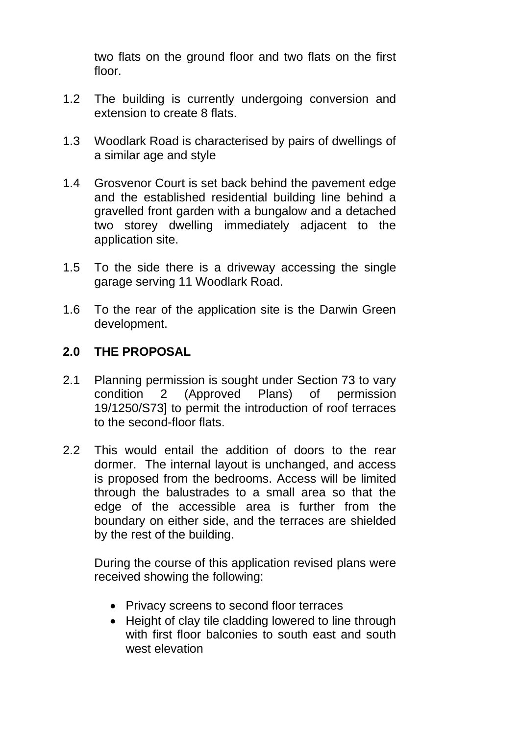two flats on the ground floor and two flats on the first floor.

- 1.2 The building is currently undergoing conversion and extension to create 8 flats.
- 1.3 Woodlark Road is characterised by pairs of dwellings of a similar age and style
- 1.4 Grosvenor Court is set back behind the pavement edge and the established residential building line behind a gravelled front garden with a bungalow and a detached two storey dwelling immediately adjacent to the application site.
- 1.5 To the side there is a driveway accessing the single garage serving 11 Woodlark Road.
- 1.6 To the rear of the application site is the Darwin Green development.

### **2.0 THE PROPOSAL**

- 2.1 Planning permission is sought under Section 73 to vary condition 2 (Approved Plans) of permission 19/1250/S73] to permit the introduction of roof terraces to the second-floor flats.
- 2.2 This would entail the addition of doors to the rear dormer. The internal layout is unchanged, and access is proposed from the bedrooms. Access will be limited through the balustrades to a small area so that the edge of the accessible area is further from the boundary on either side, and the terraces are shielded by the rest of the building.

During the course of this application revised plans were received showing the following:

- Privacy screens to second floor terraces
- Height of clay tile cladding lowered to line through with first floor balconies to south east and south west elevation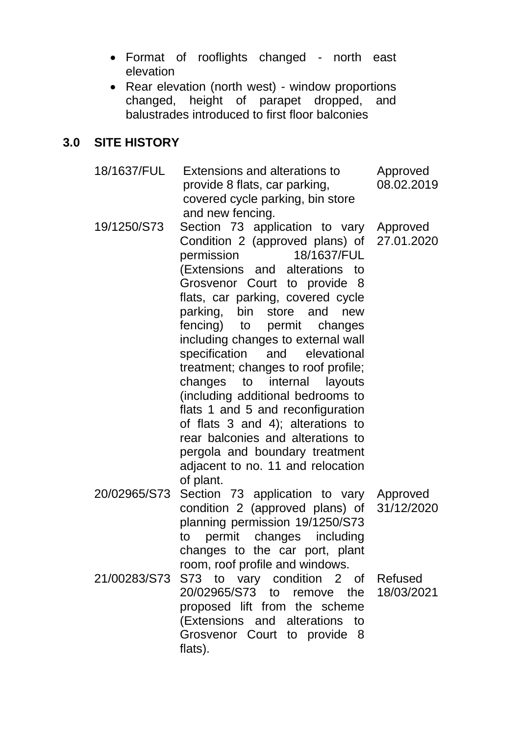- Format of rooflights changed north east elevation
- Rear elevation (north west) window proportions changed, height of parapet dropped, and balustrades introduced to first floor balconies

#### **3.0 SITE HISTORY**

18/1637/FUL 19/1250/S73 20/02965/S73 Section 73 application to vary 21/00283/S73 Extensions and alterations to provide 8 flats, car parking, covered cycle parking, bin store and new fencing. Section 73 application to vary Condition 2 (approved plans) of permission 18/1637/FUL (Extensions and alterations to Grosvenor Court to provide 8 flats, car parking, covered cycle parking, bin store and new fencing) to permit changes including changes to external wall specification and elevational treatment; changes to roof profile; changes to internal layouts (including additional bedrooms to flats 1 and 5 and reconfiguration of flats 3 and 4); alterations to rear balconies and alterations to pergola and boundary treatment adjacent to no. 11 and relocation of plant. condition 2 (approved plans) of planning permission 19/1250/S73 to permit changes including changes to the car port, plant room, roof profile and windows. S73 to vary condition 2 of 20/02965/S73 to remove the proposed lift from the scheme (Extensions and alterations to Grosvenor Court to provide 8 flats). Approved 08.02.2019 Approved 27.01.2020 Approved 31/12/2020 Refused 18/03/2021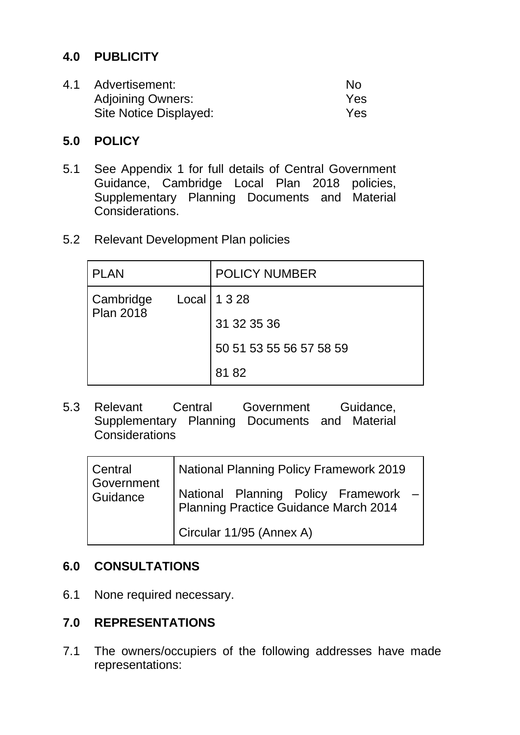# **4.0 PUBLICITY**

| 4.1 | Advertisement:           | No  |
|-----|--------------------------|-----|
|     | <b>Adjoining Owners:</b> | Yes |
|     | Site Notice Displayed:   | Yes |

#### **5.0 POLICY**

- 5.1 See Appendix 1 for full details of Central Government Guidance, Cambridge Local Plan 2018 policies, Supplementary Planning Documents and Material **Considerations**
- 5.2 Relevant Development Plan policies

| <b>PLAN</b>                   |  | <b>POLICY NUMBER</b>    |
|-------------------------------|--|-------------------------|
| Cambridge<br><b>Plan 2018</b> |  | Local   1 3 28          |
|                               |  | 31 32 35 36             |
|                               |  | 50 51 53 55 56 57 58 59 |
|                               |  | 8182                    |

5.3 Relevant Central Government Guidance, Supplementary Planning Documents and Material **Considerations** 

| Central<br>Government<br>Guidance | <b>National Planning Policy Framework 2019</b>                                |  |  |  |  |
|-----------------------------------|-------------------------------------------------------------------------------|--|--|--|--|
|                                   | National Planning Policy Framework -<br>Planning Practice Guidance March 2014 |  |  |  |  |
|                                   | Circular 11/95 (Annex A)                                                      |  |  |  |  |

### **6.0 CONSULTATIONS**

6.1 None required necessary.

### **7.0 REPRESENTATIONS**

7.1 The owners/occupiers of the following addresses have made representations: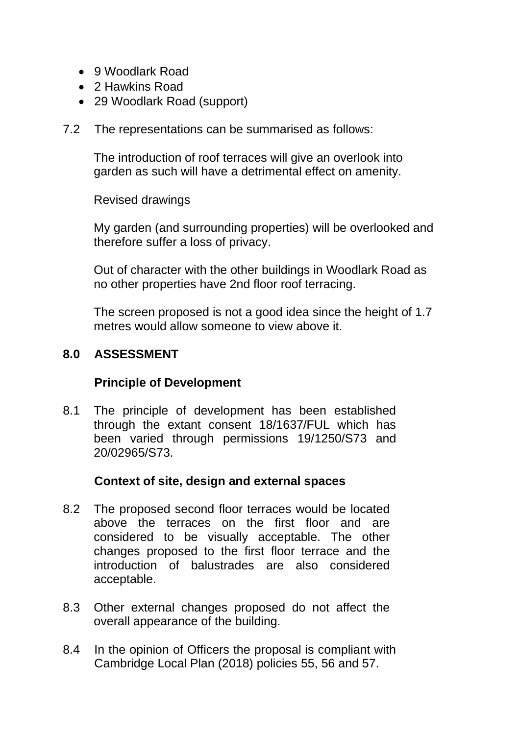- 9 Woodlark Road
- 2 Hawkins Road
- 29 Woodlark Road (support)
- 7.2 The representations can be summarised as follows:

The introduction of roof terraces will give an overlook into garden as such will have a detrimental effect on amenity.

Revised drawings

My garden (and surrounding properties) will be overlooked and therefore suffer a loss of privacy.

Out of character with the other buildings in Woodlark Road as no other properties have 2nd floor roof terracing.

The screen proposed is not a good idea since the height of 1.7 metres would allow someone to view above it.

### **8.0 ASSESSMENT**

### **Principle of Development**

8.1 The principle of development has been established through the extant consent 18/1637/FUL which has been varied through permissions 19/1250/S73 and 20/02965/S73.

### **Context of site, design and external spaces**

- 8.2 The proposed second floor terraces would be located above the terraces on the first floor and are considered to be visually acceptable. The other changes proposed to the first floor terrace and the introduction of balustrades are also considered acceptable.
- 8.3 Other external changes proposed do not affect the overall appearance of the building.
- 8.4 In the opinion of Officers the proposal is compliant with Cambridge Local Plan (2018) policies 55, 56 and 57.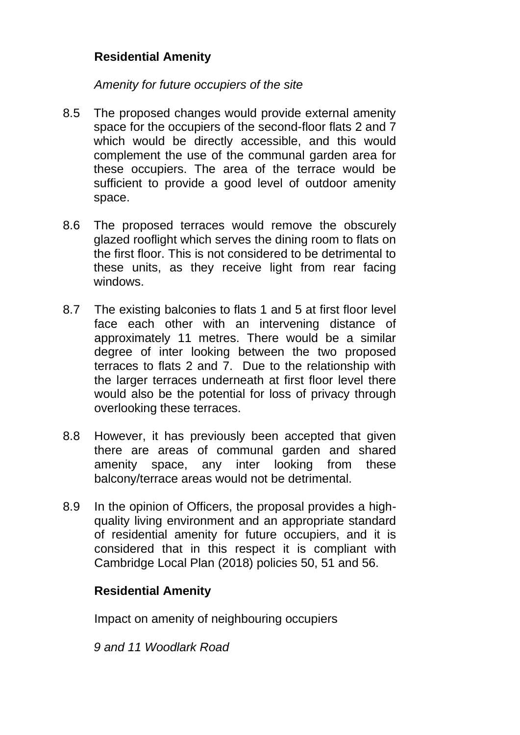# **Residential Amenity**

#### *Amenity for future occupiers of the site*

- 8.5 The proposed changes would provide external amenity space for the occupiers of the second-floor flats 2 and 7 which would be directly accessible, and this would complement the use of the communal garden area for these occupiers. The area of the terrace would be sufficient to provide a good level of outdoor amenity space.
- 8.6 The proposed terraces would remove the obscurely glazed rooflight which serves the dining room to flats on the first floor. This is not considered to be detrimental to these units, as they receive light from rear facing windows.
- 8.7 The existing balconies to flats 1 and 5 at first floor level face each other with an intervening distance of approximately 11 metres. There would be a similar degree of inter looking between the two proposed terraces to flats 2 and 7. Due to the relationship with the larger terraces underneath at first floor level there would also be the potential for loss of privacy through overlooking these terraces.
- 8.8 However, it has previously been accepted that given there are areas of communal garden and shared amenity space, any inter looking from these balcony/terrace areas would not be detrimental.
- 8.9 In the opinion of Officers, the proposal provides a highquality living environment and an appropriate standard of residential amenity for future occupiers, and it is considered that in this respect it is compliant with Cambridge Local Plan (2018) policies 50, 51 and 56.

### **Residential Amenity**

Impact on amenity of neighbouring occupiers

*9 and 11 Woodlark Road*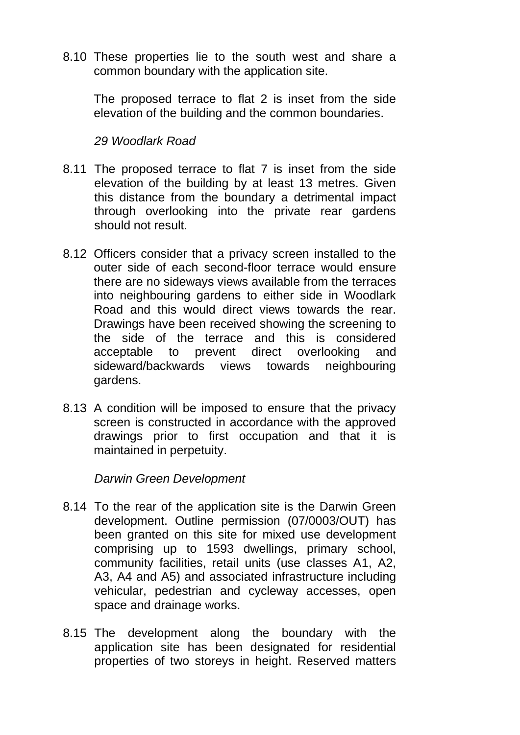8.10 These properties lie to the south west and share a common boundary with the application site.

The proposed terrace to flat 2 is inset from the side elevation of the building and the common boundaries.

#### *29 Woodlark Road*

- 8.11 The proposed terrace to flat 7 is inset from the side elevation of the building by at least 13 metres. Given this distance from the boundary a detrimental impact through overlooking into the private rear gardens should not result.
- 8.12 Officers consider that a privacy screen installed to the outer side of each second-floor terrace would ensure there are no sideways views available from the terraces into neighbouring gardens to either side in Woodlark Road and this would direct views towards the rear. Drawings have been received showing the screening to the side of the terrace and this is considered acceptable to prevent direct overlooking and sideward/backwards views towards neighbouring gardens.
- 8.13 A condition will be imposed to ensure that the privacy screen is constructed in accordance with the approved drawings prior to first occupation and that it is maintained in perpetuity.

*Darwin Green Development*

- 8.14 To the rear of the application site is the Darwin Green development. Outline permission (07/0003/OUT) has been granted on this site for mixed use development comprising up to 1593 dwellings, primary school, community facilities, retail units (use classes A1, A2, A3, A4 and A5) and associated infrastructure including vehicular, pedestrian and cycleway accesses, open space and drainage works.
- 8.15 The development along the boundary with the application site has been designated for residential properties of two storeys in height. Reserved matters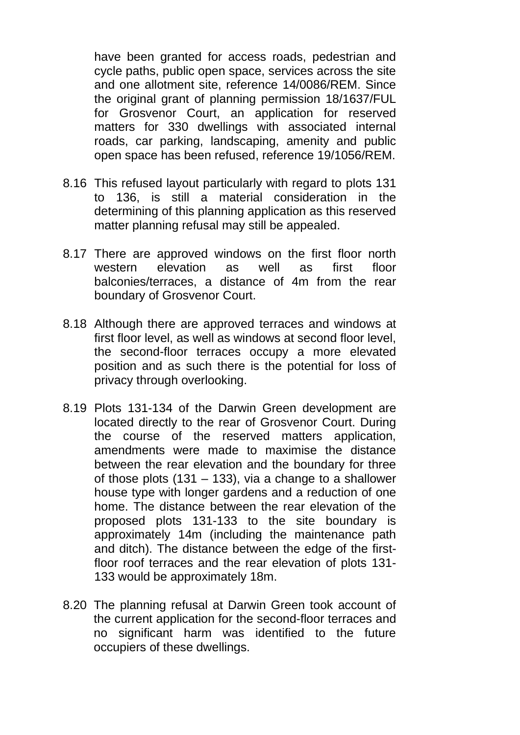have been granted for access roads, pedestrian and cycle paths, public open space, services across the site and one allotment site, reference 14/0086/REM. Since the original grant of planning permission 18/1637/FUL for Grosvenor Court, an application for reserved matters for 330 dwellings with associated internal roads, car parking, landscaping, amenity and public open space has been refused, reference 19/1056/REM.

- 8.16 This refused layout particularly with regard to plots 131 to 136, is still a material consideration in the determining of this planning application as this reserved matter planning refusal may still be appealed.
- 8.17 There are approved windows on the first floor north western elevation as well as first floor balconies/terraces, a distance of 4m from the rear boundary of Grosvenor Court.
- 8.18 Although there are approved terraces and windows at first floor level, as well as windows at second floor level, the second-floor terraces occupy a more elevated position and as such there is the potential for loss of privacy through overlooking.
- 8.19 Plots 131-134 of the Darwin Green development are located directly to the rear of Grosvenor Court. During the course of the reserved matters application, amendments were made to maximise the distance between the rear elevation and the boundary for three of those plots  $(131 - 133)$ , via a change to a shallower house type with longer gardens and a reduction of one home. The distance between the rear elevation of the proposed plots 131-133 to the site boundary is approximately 14m (including the maintenance path and ditch). The distance between the edge of the firstfloor roof terraces and the rear elevation of plots 131- 133 would be approximately 18m.
- 8.20 The planning refusal at Darwin Green took account of the current application for the second-floor terraces and no significant harm was identified to the future occupiers of these dwellings.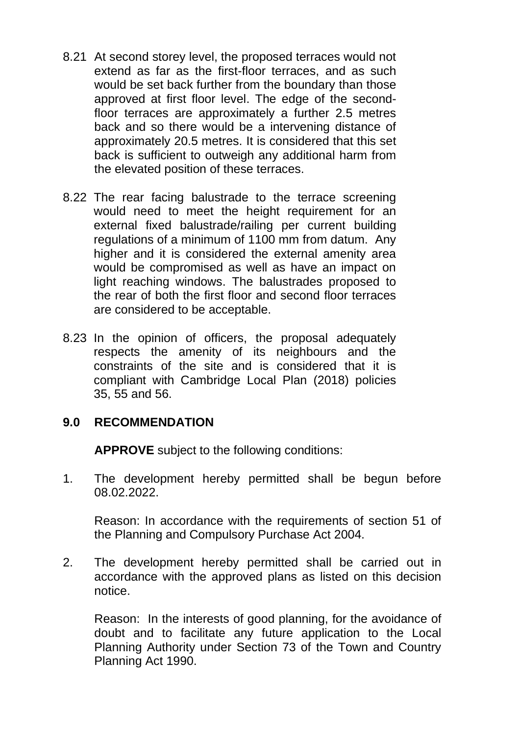- 8.21 At second storey level, the proposed terraces would not extend as far as the first-floor terraces, and as such would be set back further from the boundary than those approved at first floor level. The edge of the secondfloor terraces are approximately a further 2.5 metres back and so there would be a intervening distance of approximately 20.5 metres. It is considered that this set back is sufficient to outweigh any additional harm from the elevated position of these terraces.
- 8.22 The rear facing balustrade to the terrace screening would need to meet the height requirement for an external fixed balustrade/railing per current building regulations of a minimum of 1100 mm from datum. Any higher and it is considered the external amenity area would be compromised as well as have an impact on light reaching windows. The balustrades proposed to the rear of both the first floor and second floor terraces are considered to be acceptable.
- 8.23 In the opinion of officers, the proposal adequately respects the amenity of its neighbours and the constraints of the site and is considered that it is compliant with Cambridge Local Plan (2018) policies 35, 55 and 56.

### **9.0 RECOMMENDATION**

**APPROVE** subject to the following conditions:

1. The development hereby permitted shall be begun before 08.02.2022.

Reason: In accordance with the requirements of section 51 of the Planning and Compulsory Purchase Act 2004.

2. The development hereby permitted shall be carried out in accordance with the approved plans as listed on this decision notice.

Reason: In the interests of good planning, for the avoidance of doubt and to facilitate any future application to the Local Planning Authority under Section 73 of the Town and Country Planning Act 1990.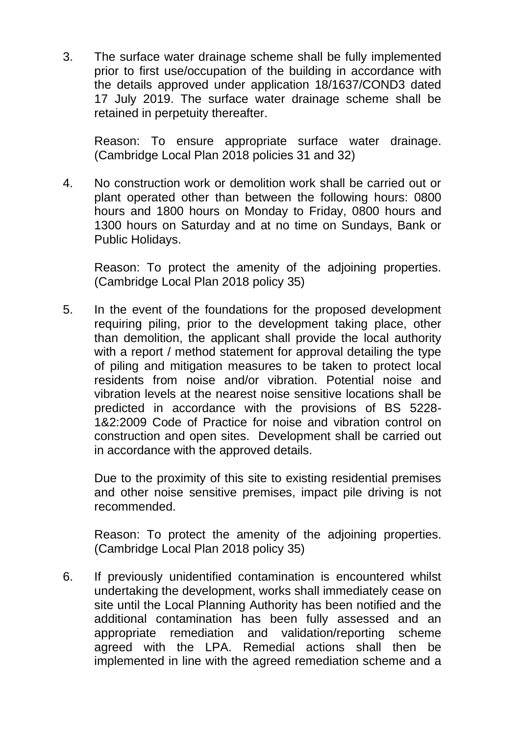3. The surface water drainage scheme shall be fully implemented prior to first use/occupation of the building in accordance with the details approved under application 18/1637/COND3 dated 17 July 2019. The surface water drainage scheme shall be retained in perpetuity thereafter.

Reason: To ensure appropriate surface water drainage. (Cambridge Local Plan 2018 policies 31 and 32)

4. No construction work or demolition work shall be carried out or plant operated other than between the following hours: 0800 hours and 1800 hours on Monday to Friday, 0800 hours and 1300 hours on Saturday and at no time on Sundays, Bank or Public Holidays.

Reason: To protect the amenity of the adjoining properties. (Cambridge Local Plan 2018 policy 35)

5. In the event of the foundations for the proposed development requiring piling, prior to the development taking place, other than demolition, the applicant shall provide the local authority with a report / method statement for approval detailing the type of piling and mitigation measures to be taken to protect local residents from noise and/or vibration. Potential noise and vibration levels at the nearest noise sensitive locations shall be predicted in accordance with the provisions of BS 5228- 1&2:2009 Code of Practice for noise and vibration control on construction and open sites. Development shall be carried out in accordance with the approved details.

Due to the proximity of this site to existing residential premises and other noise sensitive premises, impact pile driving is not recommended.

Reason: To protect the amenity of the adjoining properties. (Cambridge Local Plan 2018 policy 35)

6. If previously unidentified contamination is encountered whilst undertaking the development, works shall immediately cease on site until the Local Planning Authority has been notified and the additional contamination has been fully assessed and an appropriate remediation and validation/reporting scheme agreed with the LPA. Remedial actions shall then be implemented in line with the agreed remediation scheme and a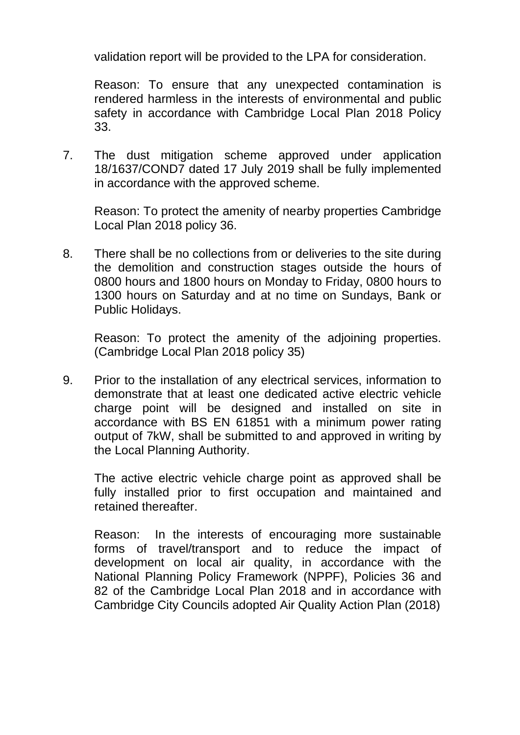validation report will be provided to the LPA for consideration.

Reason: To ensure that any unexpected contamination is rendered harmless in the interests of environmental and public safety in accordance with Cambridge Local Plan 2018 Policy 33.

7. The dust mitigation scheme approved under application 18/1637/COND7 dated 17 July 2019 shall be fully implemented in accordance with the approved scheme.

Reason: To protect the amenity of nearby properties Cambridge Local Plan 2018 policy 36.

8. There shall be no collections from or deliveries to the site during the demolition and construction stages outside the hours of 0800 hours and 1800 hours on Monday to Friday, 0800 hours to 1300 hours on Saturday and at no time on Sundays, Bank or Public Holidays.

Reason: To protect the amenity of the adjoining properties. (Cambridge Local Plan 2018 policy 35)

9. Prior to the installation of any electrical services, information to demonstrate that at least one dedicated active electric vehicle charge point will be designed and installed on site in accordance with BS EN 61851 with a minimum power rating output of 7kW, shall be submitted to and approved in writing by the Local Planning Authority.

The active electric vehicle charge point as approved shall be fully installed prior to first occupation and maintained and retained thereafter.

Reason: In the interests of encouraging more sustainable forms of travel/transport and to reduce the impact of development on local air quality, in accordance with the National Planning Policy Framework (NPPF), Policies 36 and 82 of the Cambridge Local Plan 2018 and in accordance with Cambridge City Councils adopted Air Quality Action Plan (2018)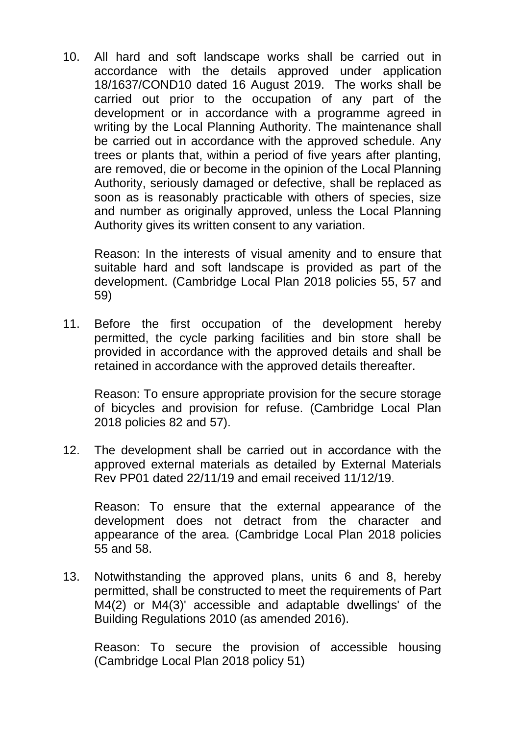10. All hard and soft landscape works shall be carried out in accordance with the details approved under application 18/1637/COND10 dated 16 August 2019. The works shall be carried out prior to the occupation of any part of the development or in accordance with a programme agreed in writing by the Local Planning Authority. The maintenance shall be carried out in accordance with the approved schedule. Any trees or plants that, within a period of five years after planting, are removed, die or become in the opinion of the Local Planning Authority, seriously damaged or defective, shall be replaced as soon as is reasonably practicable with others of species, size and number as originally approved, unless the Local Planning Authority gives its written consent to any variation.

Reason: In the interests of visual amenity and to ensure that suitable hard and soft landscape is provided as part of the development. (Cambridge Local Plan 2018 policies 55, 57 and 59)

11. Before the first occupation of the development hereby permitted, the cycle parking facilities and bin store shall be provided in accordance with the approved details and shall be retained in accordance with the approved details thereafter.

Reason: To ensure appropriate provision for the secure storage of bicycles and provision for refuse. (Cambridge Local Plan 2018 policies 82 and 57).

12. The development shall be carried out in accordance with the approved external materials as detailed by External Materials Rev PP01 dated 22/11/19 and email received 11/12/19.

Reason: To ensure that the external appearance of the development does not detract from the character and appearance of the area. (Cambridge Local Plan 2018 policies 55 and 58.

13. Notwithstanding the approved plans, units 6 and 8, hereby permitted, shall be constructed to meet the requirements of Part M4(2) or M4(3)' accessible and adaptable dwellings' of the Building Regulations 2010 (as amended 2016).

Reason: To secure the provision of accessible housing (Cambridge Local Plan 2018 policy 51)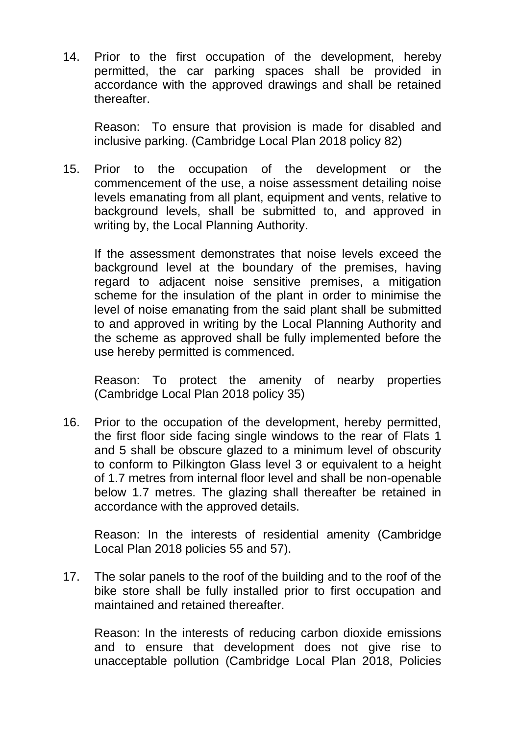14. Prior to the first occupation of the development, hereby permitted, the car parking spaces shall be provided in accordance with the approved drawings and shall be retained thereafter.

Reason: To ensure that provision is made for disabled and inclusive parking. (Cambridge Local Plan 2018 policy 82)

15. Prior to the occupation of the development or the commencement of the use, a noise assessment detailing noise levels emanating from all plant, equipment and vents, relative to background levels, shall be submitted to, and approved in writing by, the Local Planning Authority.

If the assessment demonstrates that noise levels exceed the background level at the boundary of the premises, having regard to adjacent noise sensitive premises, a mitigation scheme for the insulation of the plant in order to minimise the level of noise emanating from the said plant shall be submitted to and approved in writing by the Local Planning Authority and the scheme as approved shall be fully implemented before the use hereby permitted is commenced.

Reason: To protect the amenity of nearby properties (Cambridge Local Plan 2018 policy 35)

16. Prior to the occupation of the development, hereby permitted, the first floor side facing single windows to the rear of Flats 1 and 5 shall be obscure glazed to a minimum level of obscurity to conform to Pilkington Glass level 3 or equivalent to a height of 1.7 metres from internal floor level and shall be non-openable below 1.7 metres. The glazing shall thereafter be retained in accordance with the approved details.

Reason: In the interests of residential amenity (Cambridge Local Plan 2018 policies 55 and 57).

17. The solar panels to the roof of the building and to the roof of the bike store shall be fully installed prior to first occupation and maintained and retained thereafter.

Reason: In the interests of reducing carbon dioxide emissions and to ensure that development does not give rise to unacceptable pollution (Cambridge Local Plan 2018, Policies